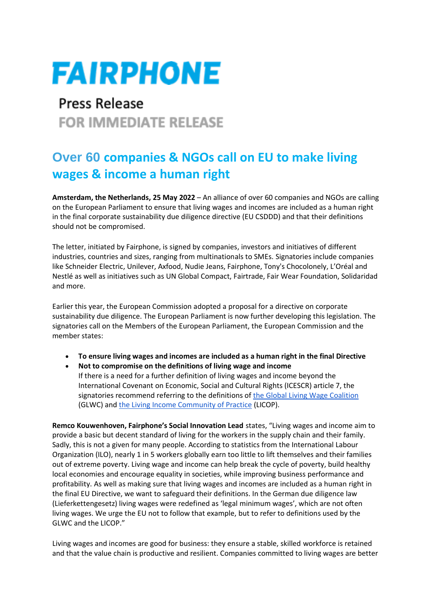## **FAIRPHONE**

## **Press Release FOR IMMEDIATE RELEASE**

## **Over 60 companies & NGOs call on EU to make living wages & income a human right**

**Amsterdam, the Netherlands, 25 May 2022** – An alliance of over 60 companies and NGOs are calling on the European Parliament to ensure that living wages and incomes are included as a human right in the final corporate sustainability due diligence directive (EU CSDDD) and that their definitions should not be compromised.

The letter, initiated by Fairphone, is signed by companies, investors and initiatives of different industries, countries and sizes, ranging from multinationals to SMEs. Signatories include companies like Schneider Electric, Unilever, Axfood, Nudie Jeans, Fairphone, Tony's Chocolonely, L'Oréal and Nestlé as well as initiatives such as UN Global Compact, Fairtrade, Fair Wear Foundation, Solidaridad and more.

Earlier this year, the European Commission adopted a proposal for a directive on corporate sustainability due diligence. The European Parliament is now further developing this legislation. The signatories call on the Members of the European Parliament, the European Commission and the member states:

- **To ensure living wages and incomes are included as a human right in the final Directive**
- **Not to compromise on the definitions of living wage and income**
- If there is a need for a further definition of living wages and income beyond the International Covenant on Economic, Social and Cultural Rights (ICESCR) article 7, the signatories recommend referring to the definitions of [the Global Living Wage Coalition](https://www.globallivingwage.org/about/what-is-a-living-wage/) (GLWC) an[d the Living Income Community of Practice](https://www.living-income.com/measurement-living-income) (LICOP).

**Remco Kouwenhoven, Fairphone's Social Innovation Lead** states, "Living wages and income aim to provide a basic but decent standard of living for the workers in the supply chain and their family. Sadly, this is not a given for many people. According to statistics from the International Labour Organization (ILO), nearly 1 in 5 workers globally earn too little to lift themselves and their families out of extreme poverty. Living wage and income can help break the cycle of poverty, build healthy local economies and encourage equality in societies, while improving business performance and profitability. As well as making sure that living wages and incomes are included as a human right in the final EU Directive, we want to safeguard their definitions. In the German due diligence law (Lieferkettengesetz) living wages were redefined as 'legal minimum wages', which are not often living wages. We urge the EU not to follow that example, but to refer to definitions used by the GLWC and the LICOP."

Living wages and incomes are good for business: they ensure a stable, skilled workforce is retained and that the value chain is productive and resilient. Companies committed to living wages are better